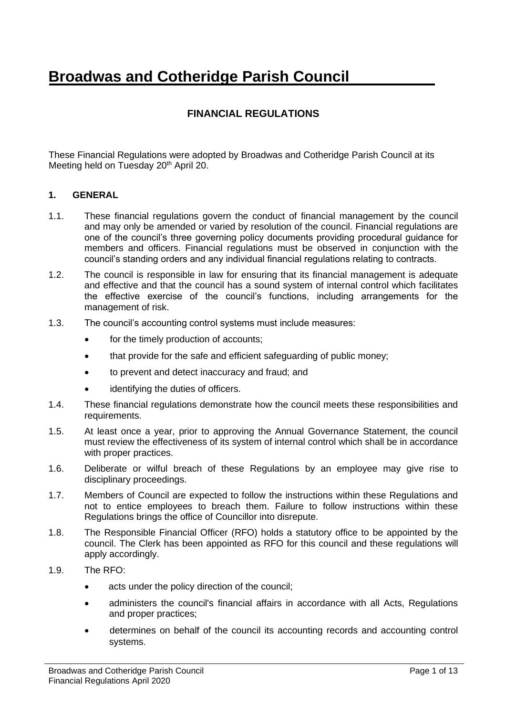# **Broadwas and Cotheridge Parish Council**

# **FINANCIAL REGULATIONS**

These Financial Regulations were adopted by Broadwas and Cotheridge Parish Council at its Meeting held on Tuesday 20<sup>th</sup> April 20.

#### **1. GENERAL**

- 1.1. These financial regulations govern the conduct of financial management by the council and may only be amended or varied by resolution of the council. Financial regulations are one of the council's three governing policy documents providing procedural guidance for members and officers. Financial regulations must be observed in conjunction with the council's standing orders and any individual financial regulations relating to contracts.
- 1.2. The council is responsible in law for ensuring that its financial management is adequate and effective and that the council has a sound system of internal control which facilitates the effective exercise of the council's functions, including arrangements for the management of risk.
- 1.3. The council's accounting control systems must include measures:
	- for the timely production of accounts:
	- that provide for the safe and efficient safeguarding of public money;
	- to prevent and detect inaccuracy and fraud; and
	- identifying the duties of officers.
- 1.4. These financial regulations demonstrate how the council meets these responsibilities and requirements.
- 1.5. At least once a year, prior to approving the Annual Governance Statement, the council must review the effectiveness of its system of internal control which shall be in accordance with proper practices.
- 1.6. Deliberate or wilful breach of these Regulations by an employee may give rise to disciplinary proceedings.
- 1.7. Members of Council are expected to follow the instructions within these Regulations and not to entice employees to breach them. Failure to follow instructions within these Regulations brings the office of Councillor into disrepute.
- 1.8. The Responsible Financial Officer (RFO) holds a statutory office to be appointed by the council. The Clerk has been appointed as RFO for this council and these regulations will apply accordingly.
- 1.9. The RFO:
	- acts under the policy direction of the council;
	- administers the council's financial affairs in accordance with all Acts, Regulations and proper practices;
	- determines on behalf of the council its accounting records and accounting control systems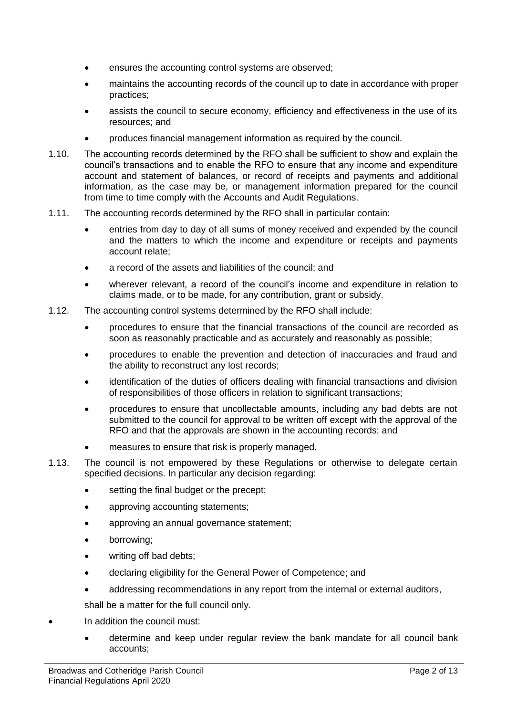- ensures the accounting control systems are observed;
- maintains the accounting records of the council up to date in accordance with proper practices;
- assists the council to secure economy, efficiency and effectiveness in the use of its resources; and
- produces financial management information as required by the council.
- 1.10. The accounting records determined by the RFO shall be sufficient to show and explain the council's transactions and to enable the RFO to ensure that any income and expenditure account and statement of balances, or record of receipts and payments and additional information, as the case may be, or management information prepared for the council from time to time comply with the Accounts and Audit Regulations.
- 1.11. The accounting records determined by the RFO shall in particular contain:
	- entries from day to day of all sums of money received and expended by the council and the matters to which the income and expenditure or receipts and payments account relate;
	- a record of the assets and liabilities of the council; and
	- wherever relevant, a record of the council's income and expenditure in relation to claims made, or to be made, for any contribution, grant or subsidy.
- 1.12. The accounting control systems determined by the RFO shall include:
	- procedures to ensure that the financial transactions of the council are recorded as soon as reasonably practicable and as accurately and reasonably as possible;
	- procedures to enable the prevention and detection of inaccuracies and fraud and the ability to reconstruct any lost records;
	- identification of the duties of officers dealing with financial transactions and division of responsibilities of those officers in relation to significant transactions;
	- procedures to ensure that uncollectable amounts, including any bad debts are not submitted to the council for approval to be written off except with the approval of the RFO and that the approvals are shown in the accounting records; and
	- measures to ensure that risk is properly managed.
- 1.13. The council is not empowered by these Regulations or otherwise to delegate certain specified decisions. In particular any decision regarding:
	- setting the final budget or the precept;
	- approving accounting statements;
	- approving an annual governance statement;
	- borrowing;
	- writing off bad debts:
	- declaring eligibility for the General Power of Competence; and
	- addressing recommendations in any report from the internal or external auditors,

shall be a matter for the full council only.

- In addition the council must:
	- determine and keep under regular review the bank mandate for all council bank accounts;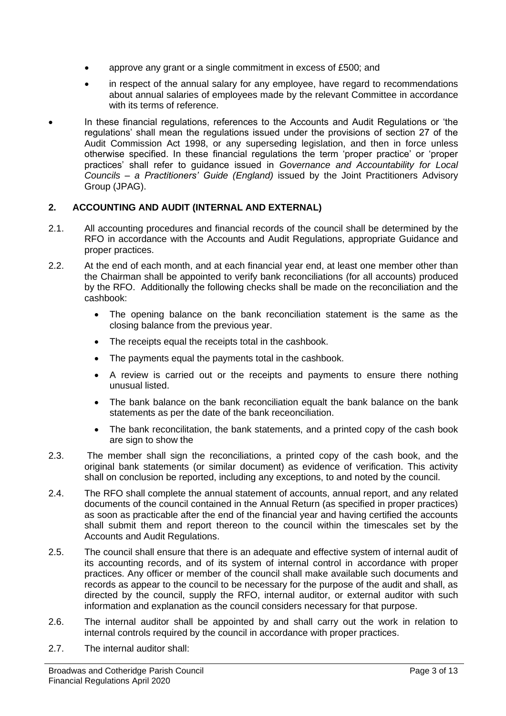- approve any grant or a single commitment in excess of £500; and
- in respect of the annual salary for any employee, have regard to recommendations about annual salaries of employees made by the relevant Committee in accordance with its terms of reference.
- In these financial regulations, references to the Accounts and Audit Regulations or 'the regulations' shall mean the regulations issued under the provisions of section 27 of the Audit Commission Act 1998, or any superseding legislation, and then in force unless otherwise specified. In these financial regulations the term 'proper practice' or 'proper practices' shall refer to guidance issued in *Governance and Accountability for Local Councils – a Practitioners' Guide (England)* issued by the Joint Practitioners Advisory Group (JPAG).

# **2. ACCOUNTING AND AUDIT (INTERNAL AND EXTERNAL)**

- 2.1. All accounting procedures and financial records of the council shall be determined by the RFO in accordance with the Accounts and Audit Regulations, appropriate Guidance and proper practices.
- 2.2. At the end of each month, and at each financial year end, at least one member other than the Chairman shall be appointed to verify bank reconciliations (for all accounts) produced by the RFO. Additionally the following checks shall be made on the reconciliation and the cashbook:
	- The opening balance on the bank reconciliation statement is the same as the closing balance from the previous year.
	- The receipts equal the receipts total in the cashbook.
	- The payments equal the payments total in the cashbook.
	- A review is carried out or the receipts and payments to ensure there nothing unusual listed.
	- The bank balance on the bank reconciliation equalt the bank balance on the bank statements as per the date of the bank receonciliation.
	- The bank reconcilitation, the bank statements, and a printed copy of the cash book are sign to show the
- 2.3. The member shall sign the reconciliations, a printed copy of the cash book, and the original bank statements (or similar document) as evidence of verification. This activity shall on conclusion be reported, including any exceptions, to and noted by the council.
- 2.4. The RFO shall complete the annual statement of accounts, annual report, and any related documents of the council contained in the Annual Return (as specified in proper practices) as soon as practicable after the end of the financial year and having certified the accounts shall submit them and report thereon to the council within the timescales set by the Accounts and Audit Regulations.
- 2.5. The council shall ensure that there is an adequate and effective system of internal audit of its accounting records, and of its system of internal control in accordance with proper practices. Any officer or member of the council shall make available such documents and records as appear to the council to be necessary for the purpose of the audit and shall, as directed by the council, supply the RFO, internal auditor, or external auditor with such information and explanation as the council considers necessary for that purpose.
- 2.6. The internal auditor shall be appointed by and shall carry out the work in relation to internal controls required by the council in accordance with proper practices.
- 2.7. The internal auditor shall: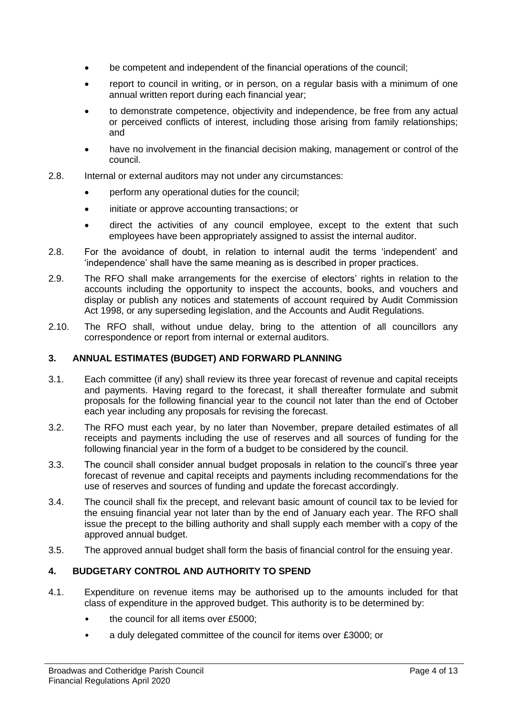- be competent and independent of the financial operations of the council;
- report to council in writing, or in person, on a regular basis with a minimum of one annual written report during each financial year;
- to demonstrate competence, objectivity and independence, be free from any actual or perceived conflicts of interest, including those arising from family relationships; and
- have no involvement in the financial decision making, management or control of the council.
- 2.8. Internal or external auditors may not under any circumstances:
	- perform any operational duties for the council;
	- initiate or approve accounting transactions; or
	- direct the activities of any council employee, except to the extent that such employees have been appropriately assigned to assist the internal auditor.
- 2.8. For the avoidance of doubt, in relation to internal audit the terms 'independent' and 'independence' shall have the same meaning as is described in proper practices.
- 2.9. The RFO shall make arrangements for the exercise of electors' rights in relation to the accounts including the opportunity to inspect the accounts, books, and vouchers and display or publish any notices and statements of account required by Audit Commission Act 1998, or any superseding legislation, and the Accounts and Audit Regulations.
- 2.10. The RFO shall, without undue delay, bring to the attention of all councillors any correspondence or report from internal or external auditors.

#### **3. ANNUAL ESTIMATES (BUDGET) AND FORWARD PLANNING**

- 3.1. Each committee (if any) shall review its three year forecast of revenue and capital receipts and payments. Having regard to the forecast, it shall thereafter formulate and submit proposals for the following financial year to the council not later than the end of October each year including any proposals for revising the forecast.
- 3.2. The RFO must each year, by no later than November, prepare detailed estimates of all receipts and payments including the use of reserves and all sources of funding for the following financial year in the form of a budget to be considered by the council.
- 3.3. The council shall consider annual budget proposals in relation to the council's three year forecast of revenue and capital receipts and payments including recommendations for the use of reserves and sources of funding and update the forecast accordingly.
- 3.4. The council shall fix the precept, and relevant basic amount of council tax to be levied for the ensuing financial year not later than by the end of January each year. The RFO shall issue the precept to the billing authority and shall supply each member with a copy of the approved annual budget.
- 3.5. The approved annual budget shall form the basis of financial control for the ensuing year.

#### **4. BUDGETARY CONTROL AND AUTHORITY TO SPEND**

- 4.1. Expenditure on revenue items may be authorised up to the amounts included for that class of expenditure in the approved budget. This authority is to be determined by:
	- the council for all items over £5000;
	- a duly delegated committee of the council for items over £3000; or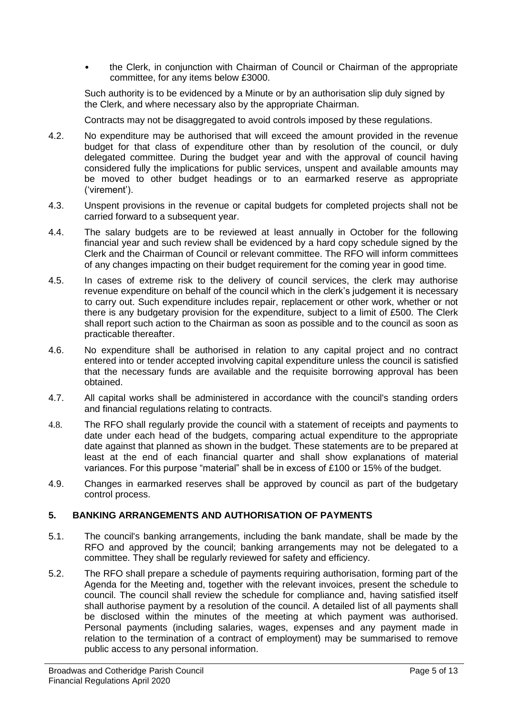• the Clerk, in conjunction with Chairman of Council or Chairman of the appropriate committee, for any items below £3000.

Such authority is to be evidenced by a Minute or by an authorisation slip duly signed by the Clerk, and where necessary also by the appropriate Chairman.

Contracts may not be disaggregated to avoid controls imposed by these regulations.

- 4.2. No expenditure may be authorised that will exceed the amount provided in the revenue budget for that class of expenditure other than by resolution of the council, or duly delegated committee. During the budget year and with the approval of council having considered fully the implications for public services, unspent and available amounts may be moved to other budget headings or to an earmarked reserve as appropriate ('virement').
- 4.3. Unspent provisions in the revenue or capital budgets for completed projects shall not be carried forward to a subsequent year.
- 4.4. The salary budgets are to be reviewed at least annually in October for the following financial year and such review shall be evidenced by a hard copy schedule signed by the Clerk and the Chairman of Council or relevant committee. The RFO will inform committees of any changes impacting on their budget requirement for the coming year in good time.
- 4.5. In cases of extreme risk to the delivery of council services, the clerk may authorise revenue expenditure on behalf of the council which in the clerk's judgement it is necessary to carry out. Such expenditure includes repair, replacement or other work, whether or not there is any budgetary provision for the expenditure, subject to a limit of £500. The Clerk shall report such action to the Chairman as soon as possible and to the council as soon as practicable thereafter.
- 4.6. No expenditure shall be authorised in relation to any capital project and no contract entered into or tender accepted involving capital expenditure unless the council is satisfied that the necessary funds are available and the requisite borrowing approval has been obtained.
- 4.7. All capital works shall be administered in accordance with the council's standing orders and financial regulations relating to contracts.
- 4.8. The RFO shall regularly provide the council with a statement of receipts and payments to date under each head of the budgets, comparing actual expenditure to the appropriate date against that planned as shown in the budget. These statements are to be prepared at least at the end of each financial quarter and shall show explanations of material variances. For this purpose "material" shall be in excess of £100 or 15% of the budget.
- 4.9. Changes in earmarked reserves shall be approved by council as part of the budgetary control process.

# **5. BANKING ARRANGEMENTS AND AUTHORISATION OF PAYMENTS**

- 5.1. The council's banking arrangements, including the bank mandate, shall be made by the RFO and approved by the council; banking arrangements may not be delegated to a committee. They shall be regularly reviewed for safety and efficiency.
- 5.2. The RFO shall prepare a schedule of payments requiring authorisation, forming part of the Agenda for the Meeting and, together with the relevant invoices, present the schedule to council. The council shall review the schedule for compliance and, having satisfied itself shall authorise payment by a resolution of the council. A detailed list of all payments shall be disclosed within the minutes of the meeting at which payment was authorised. Personal payments (including salaries, wages, expenses and any payment made in relation to the termination of a contract of employment) may be summarised to remove public access to any personal information.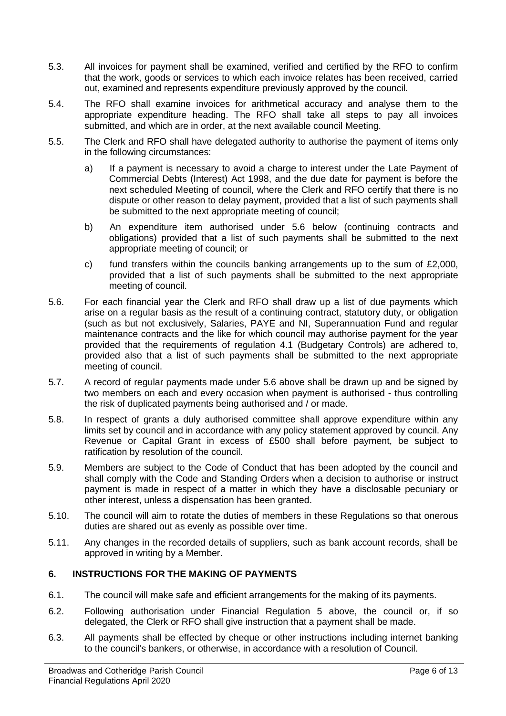- 5.3. All invoices for payment shall be examined, verified and certified by the RFO to confirm that the work, goods or services to which each invoice relates has been received, carried out, examined and represents expenditure previously approved by the council.
- 5.4. The RFO shall examine invoices for arithmetical accuracy and analyse them to the appropriate expenditure heading. The RFO shall take all steps to pay all invoices submitted, and which are in order, at the next available council Meeting.
- 5.5. The Clerk and RFO shall have delegated authority to authorise the payment of items only in the following circumstances:
	- a) If a payment is necessary to avoid a charge to interest under the Late Payment of Commercial Debts (Interest) Act 1998, and the due date for payment is before the next scheduled Meeting of council, where the Clerk and RFO certify that there is no dispute or other reason to delay payment, provided that a list of such payments shall be submitted to the next appropriate meeting of council;
	- b) An expenditure item authorised under 5.6 below (continuing contracts and obligations) provided that a list of such payments shall be submitted to the next appropriate meeting of council; or
	- c) fund transfers within the councils banking arrangements up to the sum of  $£2,000$ , provided that a list of such payments shall be submitted to the next appropriate meeting of council.
- 5.6. For each financial year the Clerk and RFO shall draw up a list of due payments which arise on a regular basis as the result of a continuing contract, statutory duty, or obligation (such as but not exclusively, Salaries, PAYE and NI, Superannuation Fund and regular maintenance contracts and the like for which council may authorise payment for the year provided that the requirements of regulation 4.1 (Budgetary Controls) are adhered to, provided also that a list of such payments shall be submitted to the next appropriate meeting of council.
- 5.7. A record of regular payments made under 5.6 above shall be drawn up and be signed by two members on each and every occasion when payment is authorised - thus controlling the risk of duplicated payments being authorised and / or made.
- 5.8. In respect of grants a duly authorised committee shall approve expenditure within any limits set by council and in accordance with any policy statement approved by council. Any Revenue or Capital Grant in excess of £500 shall before payment, be subject to ratification by resolution of the council.
- 5.9. Members are subject to the Code of Conduct that has been adopted by the council and shall comply with the Code and Standing Orders when a decision to authorise or instruct payment is made in respect of a matter in which they have a disclosable pecuniary or other interest, unless a dispensation has been granted.
- 5.10. The council will aim to rotate the duties of members in these Regulations so that onerous duties are shared out as evenly as possible over time.
- 5.11. Any changes in the recorded details of suppliers, such as bank account records, shall be approved in writing by a Member.

# **6. INSTRUCTIONS FOR THE MAKING OF PAYMENTS**

- 6.1. The council will make safe and efficient arrangements for the making of its payments.
- 6.2. Following authorisation under Financial Regulation 5 above, the council or, if so delegated, the Clerk or RFO shall give instruction that a payment shall be made.
- 6.3. All payments shall be effected by cheque or other instructions including internet banking to the council's bankers, or otherwise, in accordance with a resolution of Council.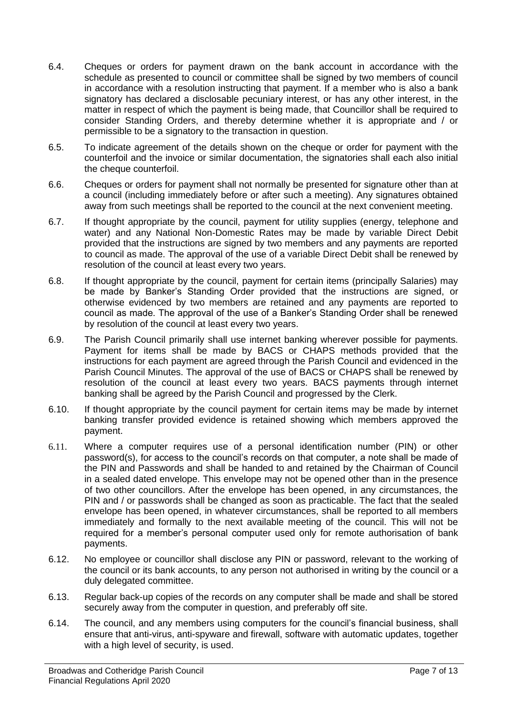- 6.4. Cheques or orders for payment drawn on the bank account in accordance with the schedule as presented to council or committee shall be signed by two members of council in accordance with a resolution instructing that payment. If a member who is also a bank signatory has declared a disclosable pecuniary interest, or has any other interest, in the matter in respect of which the payment is being made, that Councillor shall be required to consider Standing Orders, and thereby determine whether it is appropriate and / or permissible to be a signatory to the transaction in question.
- 6.5. To indicate agreement of the details shown on the cheque or order for payment with the counterfoil and the invoice or similar documentation, the signatories shall each also initial the cheque counterfoil.
- 6.6. Cheques or orders for payment shall not normally be presented for signature other than at a council (including immediately before or after such a meeting). Any signatures obtained away from such meetings shall be reported to the council at the next convenient meeting.
- 6.7. If thought appropriate by the council, payment for utility supplies (energy, telephone and water) and any National Non-Domestic Rates may be made by variable Direct Debit provided that the instructions are signed by two members and any payments are reported to council as made. The approval of the use of a variable Direct Debit shall be renewed by resolution of the council at least every two years.
- 6.8. If thought appropriate by the council, payment for certain items (principally Salaries) may be made by Banker's Standing Order provided that the instructions are signed, or otherwise evidenced by two members are retained and any payments are reported to council as made. The approval of the use of a Banker's Standing Order shall be renewed by resolution of the council at least every two years.
- 6.9. The Parish Council primarily shall use internet banking wherever possible for payments. Payment for items shall be made by BACS or CHAPS methods provided that the instructions for each payment are agreed through the Parish Council and evidenced in the Parish Council Minutes. The approval of the use of BACS or CHAPS shall be renewed by resolution of the council at least every two years. BACS payments through internet banking shall be agreed by the Parish Council and progressed by the Clerk.
- 6.10. If thought appropriate by the council payment for certain items may be made by internet banking transfer provided evidence is retained showing which members approved the payment.
- 6.11. Where a computer requires use of a personal identification number (PIN) or other password(s), for access to the council's records on that computer, a note shall be made of the PIN and Passwords and shall be handed to and retained by the Chairman of Council in a sealed dated envelope. This envelope may not be opened other than in the presence of two other councillors. After the envelope has been opened, in any circumstances, the PIN and / or passwords shall be changed as soon as practicable. The fact that the sealed envelope has been opened, in whatever circumstances, shall be reported to all members immediately and formally to the next available meeting of the council. This will not be required for a member's personal computer used only for remote authorisation of bank payments.
- 6.12. No employee or councillor shall disclose any PIN or password, relevant to the working of the council or its bank accounts, to any person not authorised in writing by the council or a duly delegated committee.
- 6.13. Regular back-up copies of the records on any computer shall be made and shall be stored securely away from the computer in question, and preferably off site.
- 6.14. The council, and any members using computers for the council's financial business, shall ensure that anti-virus, anti-spyware and firewall, software with automatic updates, together with a high level of security, is used.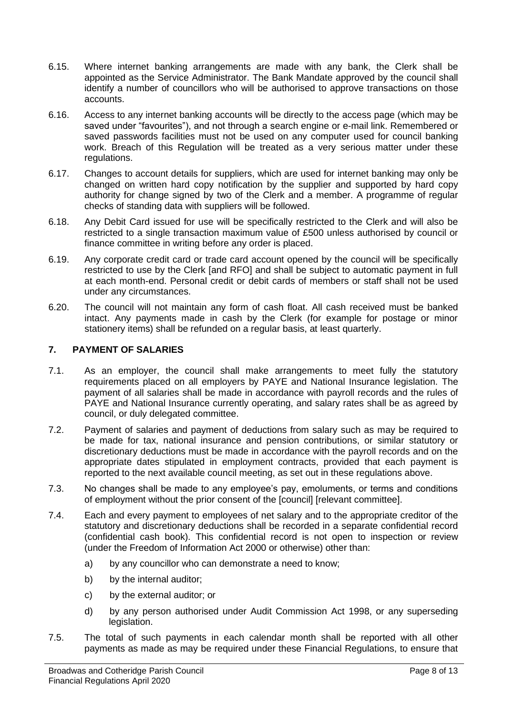- 6.15. Where internet banking arrangements are made with any bank, the Clerk shall be appointed as the Service Administrator. The Bank Mandate approved by the council shall identify a number of councillors who will be authorised to approve transactions on those accounts.
- 6.16. Access to any internet banking accounts will be directly to the access page (which may be saved under "favourites"), and not through a search engine or e-mail link. Remembered or saved passwords facilities must not be used on any computer used for council banking work. Breach of this Regulation will be treated as a very serious matter under these regulations.
- 6.17. Changes to account details for suppliers, which are used for internet banking may only be changed on written hard copy notification by the supplier and supported by hard copy authority for change signed by two of the Clerk and a member. A programme of regular checks of standing data with suppliers will be followed.
- 6.18. Any Debit Card issued for use will be specifically restricted to the Clerk and will also be restricted to a single transaction maximum value of £500 unless authorised by council or finance committee in writing before any order is placed.
- 6.19. Any corporate credit card or trade card account opened by the council will be specifically restricted to use by the Clerk [and RFO] and shall be subject to automatic payment in full at each month-end. Personal credit or debit cards of members or staff shall not be used under any circumstances.
- 6.20. The council will not maintain any form of cash float. All cash received must be banked intact. Any payments made in cash by the Clerk (for example for postage or minor stationery items) shall be refunded on a regular basis, at least quarterly.

# **7. PAYMENT OF SALARIES**

- 7.1. As an employer, the council shall make arrangements to meet fully the statutory requirements placed on all employers by PAYE and National Insurance legislation. The payment of all salaries shall be made in accordance with payroll records and the rules of PAYE and National Insurance currently operating, and salary rates shall be as agreed by council, or duly delegated committee.
- 7.2. Payment of salaries and payment of deductions from salary such as may be required to be made for tax, national insurance and pension contributions, or similar statutory or discretionary deductions must be made in accordance with the payroll records and on the appropriate dates stipulated in employment contracts, provided that each payment is reported to the next available council meeting, as set out in these regulations above.
- 7.3. No changes shall be made to any employee's pay, emoluments, or terms and conditions of employment without the prior consent of the [council] [relevant committee].
- 7.4. Each and every payment to employees of net salary and to the appropriate creditor of the statutory and discretionary deductions shall be recorded in a separate confidential record (confidential cash book). This confidential record is not open to inspection or review (under the Freedom of Information Act 2000 or otherwise) other than:
	- a) by any councillor who can demonstrate a need to know;
	- b) by the internal auditor;
	- c) by the external auditor; or
	- d) by any person authorised under Audit Commission Act 1998, or any superseding legislation.
- 7.5. The total of such payments in each calendar month shall be reported with all other payments as made as may be required under these Financial Regulations, to ensure that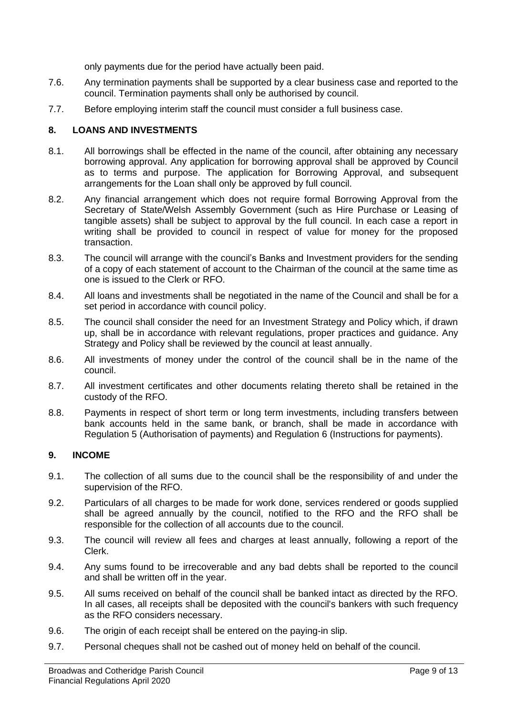only payments due for the period have actually been paid.

- 7.6. Any termination payments shall be supported by a clear business case and reported to the council. Termination payments shall only be authorised by council.
- 7.7. Before employing interim staff the council must consider a full business case.

## **8. LOANS AND INVESTMENTS**

- 8.1. All borrowings shall be effected in the name of the council, after obtaining any necessary borrowing approval. Any application for borrowing approval shall be approved by Council as to terms and purpose. The application for Borrowing Approval, and subsequent arrangements for the Loan shall only be approved by full council.
- 8.2. Any financial arrangement which does not require formal Borrowing Approval from the Secretary of State/Welsh Assembly Government (such as Hire Purchase or Leasing of tangible assets) shall be subject to approval by the full council. In each case a report in writing shall be provided to council in respect of value for money for the proposed transaction.
- 8.3. The council will arrange with the council's Banks and Investment providers for the sending of a copy of each statement of account to the Chairman of the council at the same time as one is issued to the Clerk or RFO.
- 8.4. All loans and investments shall be negotiated in the name of the Council and shall be for a set period in accordance with council policy.
- 8.5. The council shall consider the need for an Investment Strategy and Policy which, if drawn up, shall be in accordance with relevant regulations, proper practices and guidance. Any Strategy and Policy shall be reviewed by the council at least annually.
- 8.6. All investments of money under the control of the council shall be in the name of the council.
- 8.7. All investment certificates and other documents relating thereto shall be retained in the custody of the RFO.
- 8.8. Payments in respect of short term or long term investments, including transfers between bank accounts held in the same bank, or branch, shall be made in accordance with Regulation 5 (Authorisation of payments) and Regulation 6 (Instructions for payments).

#### **9. INCOME**

- 9.1. The collection of all sums due to the council shall be the responsibility of and under the supervision of the RFO.
- 9.2. Particulars of all charges to be made for work done, services rendered or goods supplied shall be agreed annually by the council, notified to the RFO and the RFO shall be responsible for the collection of all accounts due to the council.
- 9.3. The council will review all fees and charges at least annually, following a report of the Clerk.
- 9.4. Any sums found to be irrecoverable and any bad debts shall be reported to the council and shall be written off in the year.
- 9.5. All sums received on behalf of the council shall be banked intact as directed by the RFO. In all cases, all receipts shall be deposited with the council's bankers with such frequency as the RFO considers necessary.
- 9.6. The origin of each receipt shall be entered on the paying-in slip.
- 9.7. Personal cheques shall not be cashed out of money held on behalf of the council.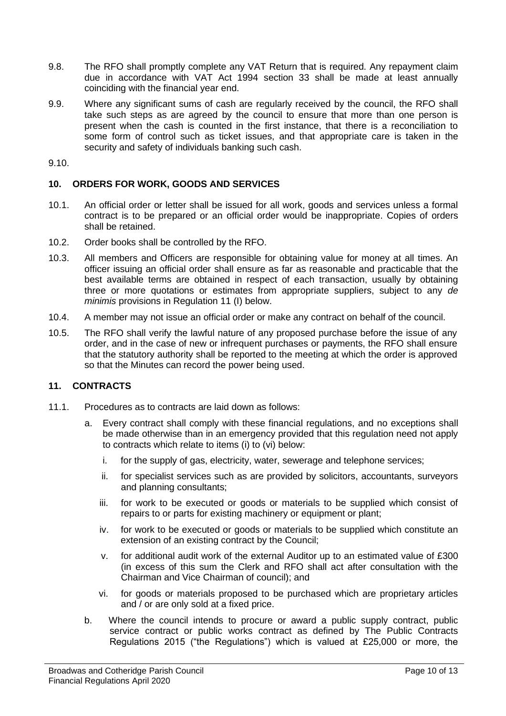- 9.8. The RFO shall promptly complete any VAT Return that is required. Any repayment claim due in accordance with VAT Act 1994 section 33 shall be made at least annually coinciding with the financial year end.
- 9.9. Where any significant sums of cash are regularly received by the council, the RFO shall take such steps as are agreed by the council to ensure that more than one person is present when the cash is counted in the first instance, that there is a reconciliation to some form of control such as ticket issues, and that appropriate care is taken in the security and safety of individuals banking such cash.

9.10.

## **10. ORDERS FOR WORK, GOODS AND SERVICES**

- 10.1. An official order or letter shall be issued for all work, goods and services unless a formal contract is to be prepared or an official order would be inappropriate. Copies of orders shall be retained.
- 10.2. Order books shall be controlled by the RFO.
- 10.3. All members and Officers are responsible for obtaining value for money at all times. An officer issuing an official order shall ensure as far as reasonable and practicable that the best available terms are obtained in respect of each transaction, usually by obtaining three or more quotations or estimates from appropriate suppliers, subject to any *de minimis* provisions in Regulation 11 (I) below.
- 10.4. A member may not issue an official order or make any contract on behalf of the council.
- 10.5. The RFO shall verify the lawful nature of any proposed purchase before the issue of any order, and in the case of new or infrequent purchases or payments, the RFO shall ensure that the statutory authority shall be reported to the meeting at which the order is approved so that the Minutes can record the power being used.

# **11. CONTRACTS**

- 11.1. Procedures as to contracts are laid down as follows:
	- a. Every contract shall comply with these financial regulations, and no exceptions shall be made otherwise than in an emergency provided that this regulation need not apply to contracts which relate to items (i) to (vi) below:
		- i. for the supply of gas, electricity, water, sewerage and telephone services;
		- ii. for specialist services such as are provided by solicitors, accountants, surveyors and planning consultants;
		- iii. for work to be executed or goods or materials to be supplied which consist of repairs to or parts for existing machinery or equipment or plant;
		- iv. for work to be executed or goods or materials to be supplied which constitute an extension of an existing contract by the Council;
		- v. for additional audit work of the external Auditor up to an estimated value of £300 (in excess of this sum the Clerk and RFO shall act after consultation with the Chairman and Vice Chairman of council); and
		- vi. for goods or materials proposed to be purchased which are proprietary articles and / or are only sold at a fixed price.
	- b. Where the council intends to procure or award a public supply contract, public service contract or public works contract as defined by The Public Contracts Regulations 2015 ("the Regulations") which is valued at £25,000 or more, the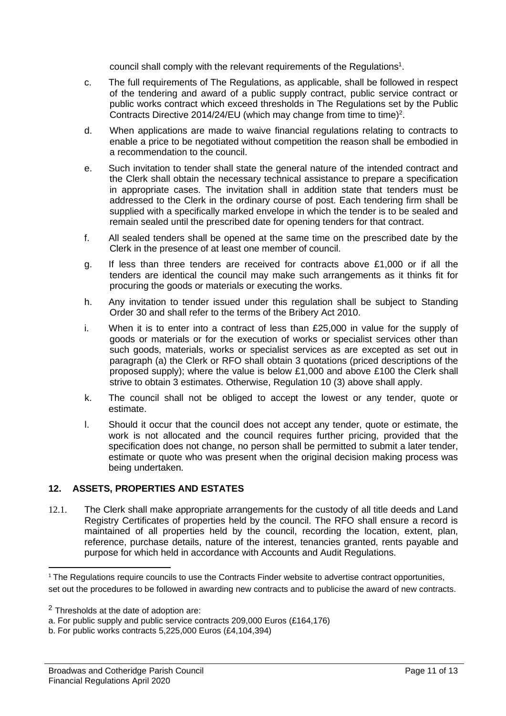council shall comply with the relevant requirements of the Regulations<sup>1</sup>.

- c. The full requirements of The Regulations, as applicable, shall be followed in respect of the tendering and award of a public supply contract, public service contract or public works contract which exceed thresholds in The Regulations set by the Public Contracts Directive 2014/24/EU (which may change from time to time)<sup>2</sup>.
- d. When applications are made to waive financial regulations relating to contracts to enable a price to be negotiated without competition the reason shall be embodied in a recommendation to the council.
- e. Such invitation to tender shall state the general nature of the intended contract and the Clerk shall obtain the necessary technical assistance to prepare a specification in appropriate cases. The invitation shall in addition state that tenders must be addressed to the Clerk in the ordinary course of post. Each tendering firm shall be supplied with a specifically marked envelope in which the tender is to be sealed and remain sealed until the prescribed date for opening tenders for that contract.
- f. All sealed tenders shall be opened at the same time on the prescribed date by the Clerk in the presence of at least one member of council.
- g. If less than three tenders are received for contracts above £1,000 or if all the tenders are identical the council may make such arrangements as it thinks fit for procuring the goods or materials or executing the works.
- h. Any invitation to tender issued under this regulation shall be subject to Standing Order 30 and shall refer to the terms of the Bribery Act 2010.
- i. When it is to enter into a contract of less than £25,000 in value for the supply of goods or materials or for the execution of works or specialist services other than such goods, materials, works or specialist services as are excepted as set out in paragraph (a) the Clerk or RFO shall obtain 3 quotations (priced descriptions of the proposed supply); where the value is below £1,000 and above £100 the Clerk shall strive to obtain 3 estimates. Otherwise, Regulation 10 (3) above shall apply.
- k. The council shall not be obliged to accept the lowest or any tender, quote or estimate.
- l. Should it occur that the council does not accept any tender, quote or estimate, the work is not allocated and the council requires further pricing, provided that the specification does not change, no person shall be permitted to submit a later tender, estimate or quote who was present when the original decision making process was being undertaken.

# **12. ASSETS, PROPERTIES AND ESTATES**

12.1. The Clerk shall make appropriate arrangements for the custody of all title deeds and Land Registry Certificates of properties held by the council. The RFO shall ensure a record is maintained of all properties held by the council, recording the location, extent, plan, reference, purchase details, nature of the interest, tenancies granted, rents payable and purpose for which held in accordance with Accounts and Audit Regulations.

<sup>&</sup>lt;sup>1</sup> The Regulations require councils to use the Contracts Finder website to advertise contract opportunities, set out the procedures to be followed in awarding new contracts and to publicise the award of new contracts.

<sup>2</sup> Thresholds at the date of adoption are:

a. For public supply and public service contracts 209,000 Euros (£164,176)

b. For public works contracts 5,225,000 Euros (£4,104,394)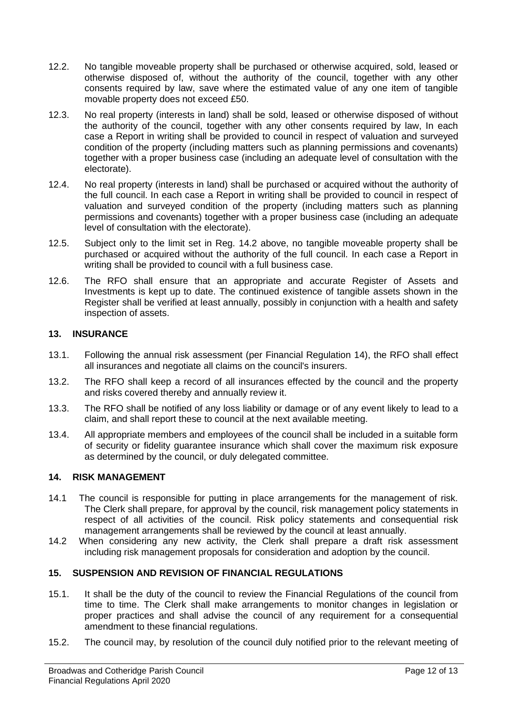- 12.2. No tangible moveable property shall be purchased or otherwise acquired, sold, leased or otherwise disposed of, without the authority of the council, together with any other consents required by law, save where the estimated value of any one item of tangible movable property does not exceed £50.
- 12.3. No real property (interests in land) shall be sold, leased or otherwise disposed of without the authority of the council, together with any other consents required by law, In each case a Report in writing shall be provided to council in respect of valuation and surveyed condition of the property (including matters such as planning permissions and covenants) together with a proper business case (including an adequate level of consultation with the electorate).
- 12.4. No real property (interests in land) shall be purchased or acquired without the authority of the full council. In each case a Report in writing shall be provided to council in respect of valuation and surveyed condition of the property (including matters such as planning permissions and covenants) together with a proper business case (including an adequate level of consultation with the electorate).
- 12.5. Subject only to the limit set in Reg. 14.2 above, no tangible moveable property shall be purchased or acquired without the authority of the full council. In each case a Report in writing shall be provided to council with a full business case.
- 12.6. The RFO shall ensure that an appropriate and accurate Register of Assets and Investments is kept up to date. The continued existence of tangible assets shown in the Register shall be verified at least annually, possibly in conjunction with a health and safety inspection of assets.

# **13. INSURANCE**

- 13.1. Following the annual risk assessment (per Financial Regulation 14), the RFO shall effect all insurances and negotiate all claims on the council's insurers.
- 13.2. The RFO shall keep a record of all insurances effected by the council and the property and risks covered thereby and annually review it.
- 13.3. The RFO shall be notified of any loss liability or damage or of any event likely to lead to a claim, and shall report these to council at the next available meeting.
- 13.4. All appropriate members and employees of the council shall be included in a suitable form of security or fidelity guarantee insurance which shall cover the maximum risk exposure as determined by the council, or duly delegated committee.

#### **14. RISK MANAGEMENT**

- 14.1 The council is responsible for putting in place arrangements for the management of risk. The Clerk shall prepare, for approval by the council, risk management policy statements in respect of all activities of the council. Risk policy statements and consequential risk management arrangements shall be reviewed by the council at least annually.
- 14.2 When considering any new activity, the Clerk shall prepare a draft risk assessment including risk management proposals for consideration and adoption by the council.

#### **15. SUSPENSION AND REVISION OF FINANCIAL REGULATIONS**

- 15.1. It shall be the duty of the council to review the Financial Regulations of the council from time to time. The Clerk shall make arrangements to monitor changes in legislation or proper practices and shall advise the council of any requirement for a consequential amendment to these financial regulations.
- 15.2. The council may, by resolution of the council duly notified prior to the relevant meeting of